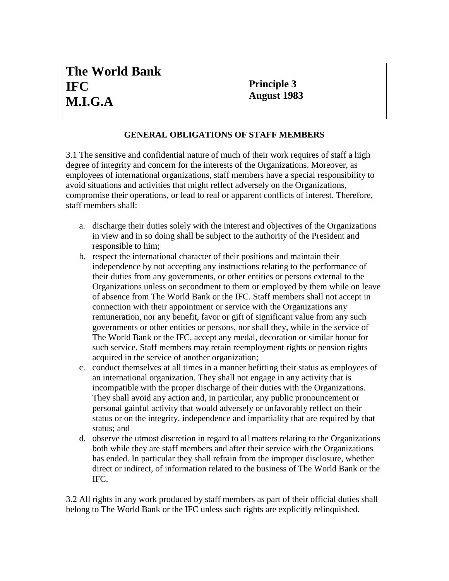## **Principle 3 August 1983**

## **GENERAL OBLIGATIONS OF STAFF MEMBERS**

3.1 The sensitive and confidential nature of much of their work requires of staff a high degree of integrity and concern for the interests of the Organizations. Moreover, as employees of international organizations, staff members have a special responsibility to avoid situations and activities that might reflect adversely on the Organizations, compromise their operations, or lead to real or apparent conflicts of interest. Therefore, staff members shall:

- a. discharge their duties solely with the interest and objectives of the Organizations in view and in so doing shall be subject to the authority of the President and responsible to him;
- b. respect the international character of their positions and maintain their independence by not accepting any instructions relating to the performance of their duties from any governments, or other entities or persons external to the Organizations unless on secondment to them or employed by them while on leave of absence from The World Bank or the IFC. Staff members shall not accept in connection with their appointment or service with the Organizations any remuneration, nor any benefit, favor or gift of significant value from any such governments or other entities or persons, nor shall they, while in the service of The World Bank or the IFC, accept any medal, decoration or similar honor for such service. Staff members may retain reemployment rights or pension rights acquired in the service of another organization;
- c. conduct themselves at all times in a manner befitting their status as employees of an international organization. They shall not engage in any activity that is incompatible with the proper discharge of their duties with the Organizations. They shall avoid any action and, in particular, any public pronouncement or personal gainful activity that would adversely or unfavorably reflect on their status or on the integrity, independence and impartiality that are required by that status; and
- d. observe the utmost discretion in regard to all matters relating to the Organizations both while they are staff members and after their service with the Organizations has ended. In particular they shall refrain from the improper disclosure, whether direct or indirect, of information related to the business of The World Bank or the IFC.

3.2 All rights in any work produced by staff members as part of their official duties shall belong to The World Bank or the IFC unless such rights are explicitly relinquished.